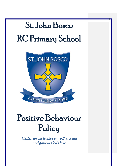

# Positive Behaviour Policy

Caring for each other as we live, learn and grow in God's love

1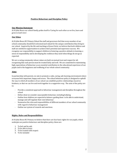## **Positive Behaviour and Discipline Policy**

#### **Our Mission Statement**

At St John Bosco our school family prides itself in 'Caring for each other as we live, learn and grow in God's love'.

### **Our Ethos**

At St John Bosco RC Primary School the staff and governors feel that every member of our school community should feel welcomed and valued for the unique contribution they bring to our school.Inspired by the life and teachings of Jesus Christ, we believe that both children and staff are entitled to opportunities to achieve their potential and experience success. We recognise our responsibility to support children in fostering a positive attitude to learning, a sense of responsibility and in developing the resilience they need when things do not go as expected.

We are a caring community whose values are built on mutual trust and respect for all; recognising that each person must be treated fairly and well. We are committed to maintaining high expectations of behaviour as an essential contribution to the educational experience of our pupils and to the happiness and wellbeing of our whole school community.

#### **Aims**

In partnership with parents, we aim to promote a calm, caring, safe learning environment where everyone feels important, happy and secure. The school behaviour policy is designed to uphold the way in which all members of our school can establish positive relationships, based on kindness, so that we can live and work together in a supportive way. The aims of the policy are to:

- Provide a consistent approach to behaviour management and discipline throughout the school
- Define what we consider unacceptable behaviour, including bullying
- Outline how children are expected to behave; guiding them to be able to understand, manage and self-regulate their own behaviour
- Summarise the roles and responsibilities of different members of our school community with regard to behaviour management
- Outline our system of rewards and sanctions.

## **Rights, Rules and Responsibilities**

At St John Bosco RC Primary we believe that there are four basic rights for our pupils, which underpin our positive behaviour and discipline policy, these are:

- 1. To feel and be safe
- 2. To be able to learn
- 3. To be treated with respect
- 4. To be included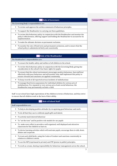## **The Role of Governors**

The Governing Body's responsibilities are:

- $\star$  To review and approve the written statement of behaviour principles.
- $\star$  To support the Headteacher in carrying out these guidelines.
- $\star$  To review this behaviour policy in conjunction with the Headteacher and monitor the policy's effectiveness, offering support and holding the Headteacher to account for its implementation.

 $\star$  To make the ultimate decision on permanent exclusion.

 To monitor the rate of fixed-term and permanent exclusions, and to ensure that the school policy is administered fairly and consistently

#### **The Role of the Headteacher**

The Headteacher's responsibilities are:

- $\star$  To ensure the health, safety and welfare of all children in the school.
- $\star$  To review this behaviour policy in conjunction with the Governing Body, giving due consideration to the school's four basic rights for pupils.
- $\star$  To ensure that the school environment encourages positive behaviour, that staff deal effectively with poor behaviour and will monitor how staff implement this policy to ensure rewards and sanctions are applied consistently.
- $\star$  To keep records of all reported serious incidents of misbehaviour.
- To manage fixed-term suspensions for individual children for serious acts of misbehaviour. For repeated or very serious acts of anti-social behaviour, the Headteacher may permanently exclude a child.

Staff in our school have high expectations of the children in terms of behaviour, and they strive to ensure that all children work to the best of their ability.

#### **The Role of School Staff**

Staff responsibilities are:

- $\star$  To help in developing positive attitudes by recognising good behaviour and work.
- $\star$  To do all that they can to celebrate pupils gifts and talents
- $\star$  To actively teach desired behaviour
- $\star$  To "set the tone" and be positive role models for our pupils
- $\star$  To make every effort to provide a well organised, well displayed and attractive classroom for the children to learn in.
- $\star$  To devise learning activities which will motivate pupils, encourage them to talk, share, debate and cooperate.
- $\star$  To treat each child fairly; using the Codes of Conduct and sanctions consistently in relation to children's needs.
- $\star$  To use the RIP (reprimand in private) and PIP (praise in public) principles.
- $\star$  To work as a team, sharing responsibility for behaviour management across the school.

**Comment [HM1]:** Version 1

**Comment [HM2]:** Version 1

**Comment [HM3]:** Version 1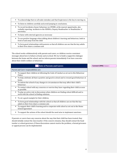- $\star$  To acknowledge that we all make mistakes and that forgiveness is the key to moving on.
- $\star$  To listen to children carefully and avoid jumping to conclusions.
- $\star$  To record incidents of poor behaviour on CPOMS, at the nearest opportunity, also verbally reporting incidents to the SENDCo, Deputy Headteacher or Headteacher if necessary.
- $\star$  To liaise with external agencies as necessary
- $\star$  To use positive language when talking about children's learning and behaviour, both in front of and away from the child
- $\star$  To form good relationships with parents so that all children can see that the key adults in their lives share a common aim

The school works collaboratively with parents and carers, so children receive consistent messages about how to behave at home and at school. We try to build a supportive dialogue between the home and the school, and we inform parents immediately if we have concerns about their child's welfare or behaviour.

|         | <b>Role of Parents and Carers</b>                                                                                                             |
|---------|-----------------------------------------------------------------------------------------------------------------------------------------------|
|         | Parent and Carer responsibilities are:                                                                                                        |
| $\star$ | To support their children in following the Code of Conduct as set out in this Behaviour<br>Policy.                                            |
| $\star$ | To help celebrate all that is positive and good in school and to reward good behaviour at<br>home.                                            |
| $\star$ | To inform the school of any changes in circumstances that may affect their child's<br>behaviour.                                              |
|         | $\star$ To contact school with any concerns or worries they have regarding their child as soon<br>as possible.                                |
|         | $\star$ To play an active role in discussions when children are finding school difficult and to<br>work with the school in finding solutions. |
|         | $\star$ To set a good example for their children.                                                                                             |
|         | $\star$ To form good relationships with the school so that all children can see that the key<br>adults in their lives share a common aim      |
| $\star$ | To support their child's learning and to cooperate with school as set out in the Home<br>School Agreement                                     |
|         | $\star$ To support the actions of the school should the need arise to implement sanctions.                                                    |

If parents or carers have any concerns about the way that their child has been treated, they should initially contact the class teacher. If the concern remains, they should contact the head teacher or school governors. If these discussions cannot resolve the problem, a formal grievance or appeal process can be implemented.

#### **Comment [HM4]:** Version 1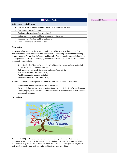| <b>Role of Pupils</b>                                                          | Comment [HM5]: Version 1 |
|--------------------------------------------------------------------------------|--------------------------|
| Children's responsibilities are:                                               |                          |
| $\star$ To work to the best of their abilities and allow others to do the same |                          |
| $\star$ To treat everyone with respect                                         |                          |
| $\star$ To obey the instructions of the school staff                           |                          |
| $\star$ To take care of property and the environment of the school             |                          |
| $\star$ To cooperate with other children and adults                            |                          |
| $\star$ To walk quietly and calmly around school                               |                          |
|                                                                                |                          |

## **Monitoring**

The Headteacher reports to the governing body on the effectiveness of this policy and, if necessary, makes recommendations for improvements. Monitoring is carried out constantly through a range of means both informally and formally. As we recognise positive behaviour is the responsibility of everybody we deploy additional measures that involve our whole school community, these include:

- Senior Leadership 'drop ins' around the school including playground and Dining Hall
- SLT observations and behaviour walks.
- Staff members- half-termly behaviour walks (see Appendix 1a)
- Staff Self-evaluation (See Appendix 1b)
- Pupil Questionnaire (see Appendix 1c)
- Parent Questionnaire (See Appendix 1d)

Records of incidents of unacceptable behaviour are kept across school, these include:

- Incidents and follow up actions recorded on CPOMS
- Classroom Behaviour Logs kept in conjunction with 'Good To Be Green' reward system.
- The log, kept by the Headteacher, of any child who is excluded for a fixed-term, or who is permanently excluded.

## **Our Values**



At the heart of St John Bosco are our core values and learning behaviours that underpin everything we do. These form the foundation of the behavioural expectations for our whole school community and are the basis for our whole school rules. These keywords are given a high profile around school both on display and in discussions with children.

5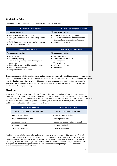## **Whole School Rules**

Our behaviour policy is underpinned by the following basic school rules:

| We are kind and helpful                                                                                                                                                             | We are always ready to learn                                                                                                                                    |  |  |
|-------------------------------------------------------------------------------------------------------------------------------------------------------------------------------------|-----------------------------------------------------------------------------------------------------------------------------------------------------------------|--|--|
| This means we will                                                                                                                                                                  | This means we will                                                                                                                                              |  |  |
| • Keep hands and feet to ourselves<br>• Work, play and move calmly and safely around<br>school<br>• Be kind and respectful in our words and actions<br>• Ensure others are included | • Listen when others are speaking<br>Follow instructions quickly and sensibly<br>٠<br>Raise our hand for permission to speak<br>٠<br>Allow others to learn<br>٠ |  |  |
|                                                                                                                                                                                     |                                                                                                                                                                 |  |  |
| We show that we care                                                                                                                                                                | We always do our best                                                                                                                                           |  |  |
| This means we will                                                                                                                                                                  | This means we will                                                                                                                                              |  |  |
| $\bullet$ Tell the truth                                                                                                                                                            | Not waste our time<br>٠                                                                                                                                         |  |  |
| • Look after property                                                                                                                                                               | Learn from our mistakes<br>٠                                                                                                                                    |  |  |
| • Speak politely; saying please, thank you and                                                                                                                                      | Encourage others<br>٠                                                                                                                                           |  |  |
| excuse me                                                                                                                                                                           | Try new things<br>٠                                                                                                                                             |  |  |
| • Treat others as we would wish to be treated                                                                                                                                       | Believe in ourselves<br>٠                                                                                                                                       |  |  |
| • Tidy up after ourselves                                                                                                                                                           | Work hard<br>٠                                                                                                                                                  |  |  |

These rules are shared with pupils, parents and carers and are clearly displayed in each classroom and around the school building. The rules, rights and responsibilities are discussed with all children throughout the school in order that they appreciate how this will support us all to achieve a happy, safe and secure school for everyone. During these discussions children are taught how to consider the feelings of others and how to resolve conflicts in a positive way.

#### **Class Rules**

At the start of the academic year, each class draws up their own 'Class Charter' based upon the whole school rules and our core values. Class work during the first week of the academic year ensures that all children understand the rules and deems them to be fair. These rules, along with the whole school rules, are the basis for the 'Good to be Green' behaviour system. Additionally from the very start of their journey in our school children become familiar with two other codes. These are:

| <b>Our Listening Code</b>           | <b>Our Lining Up Code</b>           |  |
|-------------------------------------|-------------------------------------|--|
| When I am asked for my attention I: | When I am asked to line up I:       |  |
| Stop what I am doing                | Walk to the end of the line         |  |
| Empty hands/show me five            | Leave a person space                |  |
| Look at the teacher                 | Keep my hands and my feet to myself |  |
| Keep quiet and still                | Keep quiet and still                |  |
| Listen to instructions              | Listen to instructions              |  |

In addition to our whole school rules and class charters, we recognise the need for an agreed Code of Conduct during non-curriculum time. Behaviour outside of the classroom can have a huge impact on behaviour in the classroom and in turn affect the learning environment. We believe that an essential part of high standards of learning can be achieved when behaviour at these crucial points in the day are managed well. The following expectation and procedures have been put in place to ensure these standards of behaviour are maintained: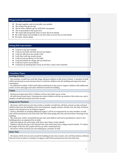#### **Playground expectations**

- We play together and we look after one another
- ★ We respect the grown-ups
- $\star$  We let other children get on with their own games
- $\star$  We sit peacefully in the quiet area
- $\star$  We stand still and quietly when we hear the first whistle
- $\star$  We walk calmly and sensibly to our line when we hear the second whistle
- ★ We enter school calmly

#### **Dining Hall expectations**

- $\star$  I will sit in my seat sensibly<br> $\star$  I will use my knife and fork
- I will use my knife and fork and not my fingers
- $\star$  I will not talk when my mouth is full
- ★ I will chew with my mouth closed
- $\star$  I will not put my elbows on the table
- $\star$  I will ask politely for things and say thank you
- $\star$  I will have quiet conversations
- $\star$  I will pick up anything that I drop on the floor, when I have finished

#### **Transition Times**

#### **Arriving at School**

- One member of staff from each Key Stage will greet children at the front of school. A member of staff will be positioned on each entrance door to welcome children into the building and supervise hand sanitisation.

- An additional member of KS2 staff will be positioned on the yard to support children with additional needs, receive messages and usher children towards the building.

#### **Toilets**

- During curriculum time KS1/2 children will use the toilets one at a time.

- At lunch time/break times/ retuning into school children will line up outside of the toilet area and a member of staff will monitor from the corridor.

#### **Going out for Playtimes**

- All classes will be led out onto the yard by a member of staff who will then remain on duty and lead children back into the building at the end of playtime. Supply teachers should cover the duty of absent teachers but should never be without support.

- Classes, identified as needing additional support, will be accompanied by an extra member of staff who will be positioned at the end of the line both when going onto the yard and when returning to the building..

- The main door will be closed behind each class and children will not be permitted to return to the building unless accompanied by an adult.

- Staff will indicate the end of play with three short blows of the whistle.

- Children will join the line to be led back into class when they hear a longer fourth whistle. To reduce the length of the line, KS1 pupils will line up with a named partner.

- All classes will be led back into the building by a member of staff

#### **Home Time**

- All classes will be led out and around the building by the class teacher, who will then dismiss children from the front of school. A member of support staff will be positioned at the end of the line.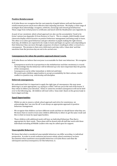#### **Positive Reinforcement**

At St John Bosco we recognise that the vast majority of pupils behave well and that positive reinforcement proves much more effective than imposing sanctions. We deploy a wide range of strategies that acknowledge, recognise, celebrate, encourage and reward good behaviour. These range from verbal praise to certificates and lunch with the Headteacher (see Appendix 2).

As part of our consistent, whole school approach we also use the accumulative 'Good to be Green' system (see Appendix 3) from Nursery to Year 6. This is a simple, child-friendly visual classroom display which focusses on positive behaviour management and being ready to learn. The ethos is to notice good behaviour and give attention to pupils making the right choices. Each day, all children are expected to be ready to learn and begin on a green card, depending on their behaviour they can move through a sequence of colours resulting in either a reward or a consequence. The premise is that every child starts each day with a 'clean slate' and that sanctions from the previous day are not to be carried over.

#### **Consequences for when the positive approach doesn't work.**

At St John Bosco we believe that everyone is accountable for their own behaviour. We recognise that:

- Consequences need to be in proportion to the misbehaviour and that consistency is crucial.
- The knowledge that the behaviour will be followed up is far more important than the gravity of the consequence.
- Consequences can be either immediate or deferred until later.
- We need to give children opportunities to accept accountability for their actions, resolve conflict in a positive way and develop self-discipline.

#### **Deferred consequences.**

We understand that it is important to apply the right type of consequence; this may mean deferring it, as seen appropriate, e.g. saying to a child 'I will see you at the end of the lesson' if they refuse to follow your direction. Unless it cannot be avoided consequences will not be held over to the following day. All children will start with a 'clean slate' (back on the green/ready to learn stage) each day.

#### **Equal Opportunities**

- Whilst we aim to ensure a whole school approach and strive for consistency, we acknowledge that 'one size fits all' is not always an appropriate approach to positive behaviour management.
- We recognise that children can have different needs and that we should know what they are. We know that we need to treat some children differently to others to get the same result and this is what we mean by equal opportunities.
- Those children with additional needs will have an Individual Behaviour Plan that is appropriate for their needs. These plans will be shared with all staff that work with these individuals including all Middle Leaders who may be called upon for support.

#### **Unacceptable Behaviour**

We know that what is considered unacceptable behaviour can differ according to individual perspective. In order to avoid confusion and ensure whole school consistency we have documented what constitutes unacceptable behaviour at St John Bosco and what the subsequent sanction/consequence, for this behaviour, is.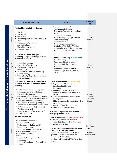|                                        |          | <b>Possible Behaviour</b>                                                                                                                                                                                                                                                                                                                                                                                                                                                                                                                                           | <b>Action</b>                                                                                                                                                                                                                                                                                                                                                                                                                                                           | <b>Managed</b><br>by                                |
|----------------------------------------|----------|---------------------------------------------------------------------------------------------------------------------------------------------------------------------------------------------------------------------------------------------------------------------------------------------------------------------------------------------------------------------------------------------------------------------------------------------------------------------------------------------------------------------------------------------------------------------|-------------------------------------------------------------------------------------------------------------------------------------------------------------------------------------------------------------------------------------------------------------------------------------------------------------------------------------------------------------------------------------------------------------------------------------------------------------------------|-----------------------------------------------------|
|                                        | Stage 1  | Minimal low level disruption e.g.<br>Not listening<br>٠<br>Not on task<br>٠<br>Out of seat<br>$\blacksquare$<br>Disrupting other children, chatting in<br>class<br>Distraction, interruption<br>٠<br>Answering back<br>٠<br>Not taking instructions<br>٠<br>Running inside<br>п                                                                                                                                                                                                                                                                                     | Strategies that can be used:<br>Name/pause technique<br>Eye contact (stern stare, raised eye<br>brow)<br>Praise of other children<br>Assertive body language (crossed<br>arms, frowns etc.)<br>Direct back to seat<br>Whispering a firm reminder<br>Reminder of the Code of Conduct<br>Quiet unobtrusive 'What should you<br>be doing?' or 'Are you okay?'                                                                                                              | Class<br>Teacher                                    |
|                                        | Stage 2  | Persistent low level disruption,<br>following 2 Stage 1 warnings, or other<br>minor incidents e.g.<br>Complains/mutters<br>٠<br>disruptively/persistently<br>Unsafe movement around<br>classroom/school<br>Inappropriate physical contact e.g.<br>٠<br>poking, flicking,<br>Telling lies/getting others into trouble<br>٠<br>Careless damage<br>٠                                                                                                                                                                                                                   | Child issued with 'Stop n Think' card<br>Verbal warning<br>Reposition child, if necessary<br>Set a time limit for improved<br>behaviour<br>Reminded of expected behaviour<br>required to get back to 'Good to be<br>Green'                                                                                                                                                                                                                                              | Class<br>Teacher                                    |
| nacceptable Behaviour Stages & Actions | Stage 3: | Beginning to challenge e.g. continued<br>low level disruption following Stage 2<br>warning,<br>" Verbal abuse/minor bad language<br><b>Encourages other to misbehave</b><br>Answering back or constantly<br>questioning adult's decision or request<br>• Not completing a reasonable amount of<br>work, in a set time due to behaviour<br>· Deliberate disruption e.g. trying to<br>distract other children from their work,<br>• Destruction of property (first time)<br>• Persistent rough play<br>· Playtime incident (first occurrence)<br>■ Threatens violence | Child is issued with 'Warning' Card<br>Reposition child if necessary<br>Set a time limit for improved<br>٠<br>behaviour<br>Reminded of expected behaviour<br>٠<br>required to get back to 'Good to be<br>Green'<br>" Time out' in another class if above<br>already tried<br>Child to repeat task/complete work in<br>٠<br>own time<br>Parents informed at home time<br>Child to apologise verbally<br>N.B. 2 warnings in the same week = sent<br>to Deputy Headteacher | Parallel<br>Teacher/<br><b>Key Stage</b><br>Leader  |
|                                        | Stage 4: | Serious incident e.g.<br>Causes hurt intentionally<br>Uses obscene language<br>"Verbal abuse including racial/<br>homophobic language<br>• intentional damage to property<br>refusal to follow instruction<br>persistent rudeness<br>$\blacksquare$ theft,<br>" repeatedly leaving class without<br>permission<br>• Bullying (As defined by Anti-bullying<br>Policy)                                                                                                                                                                                                | Child is issued with 'Consequence' Card<br>Playtime/ lunch time detention-<br>complete Behaviour Reflection form<br>Apologise in writing<br>٠<br>N.B. 3 consequences in same half term<br>= HT / DH to contact parents<br>- possible letter home from DHT or HT<br>- possible internal exclusion (to be<br>decided by DHT or HT) -<br>- meeting with parents DHT/HT and class<br>teacher                                                                                | <b>Key Stage</b><br>Leader<br>Deputy<br>Headteacher |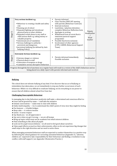| LO<br>Stage | Very serious incident e.g.<br><b>Behaviour is creating a health and safety</b><br>risk<br>• Running out of school<br>Repeated fighting and intentional<br>physical harm to other children<br>Repeated verbal abuse to any staff or<br>child serious theft e.g. taking money or<br>valuable property<br>Intentional acts of vandalism<br>Serious challenge to authority -<br>persistent and dangerous<br>persistent bullying (As defined by Anti-<br>bullying Policy) | ٠<br>٠<br>٠<br>٠<br>٠<br>٠<br>٠ | Parents informed<br>Class Teacher/DHT/HT meeting<br>with parents (Behaviour Contract)<br>Internal exclusion<br>Lunchtime / playtime detention -<br>complete Behaviour Reflection form<br>Apologise in writing<br>Withdrawal from an event that is<br>imminent pastoral support<br>programme<br>Possible fixed term exclusion<br>Involvement of other agencies<br>(CYPS, CAMHS, Behavioural Support)<br>Team) | Deputy<br>Headteacher<br>Head<br>teacher |
|-------------|----------------------------------------------------------------------------------------------------------------------------------------------------------------------------------------------------------------------------------------------------------------------------------------------------------------------------------------------------------------------------------------------------------------------------------------------------------------------|---------------------------------|--------------------------------------------------------------------------------------------------------------------------------------------------------------------------------------------------------------------------------------------------------------------------------------------------------------------------------------------------------------------------------------------------------------|------------------------------------------|
| ت<br>Stage  | <b>Extremely Serious incident e.g.</b><br><b>Extreme danger or violence</b><br>• Physical abuse to staff<br>• Possession of weapons or drugs<br>" Cumulative serious disruptive behaviour                                                                                                                                                                                                                                                                            |                                 | Parents informed immediately<br>Possible exclusion                                                                                                                                                                                                                                                                                                                                                           | Headteacher                              |
|             | Progress through the list of sanctions on a regular basis will result in a review of the child's behaviour and on                                                                                                                                                                                                                                                                                                                                                    |                                 |                                                                                                                                                                                                                                                                                                                                                                                                              |                                          |

being placed on a daily report with parents informed and involved.

## **Bullying**

The school does not tolerate bullying of any kind. If we discover that an act of bullying or intimidation has taken place, we act immediately to stop any further occurrences of such behaviour. While it is very difficult to eradicate bullying, we do everything in our power to ensure that all children attend school free from fear

## **Challenging Unacceptable Behaviour**

In managing day to day behaviour positively staff make a determined and conscious effort to:

- ♣ Greet and be greeted by name staff take the initiative
- ♣ Initiate conversation make time to chat with children
- ♣ Smile, build empathy try to understand the child's point of view, how they might be feeling
- ♣ Use humour it builds bridges
- ♣ Keep calm it reduces tension
- ♣ Listen it earns respect
- ♣ Say thank you we all appreciate it
- ♣ Say sorry when we get it wrong we are all human
- ♣ Bring up topics which may not be academic but which interest children
- ♣ Find something to like about all pupils
- ♣ Look out for pupil resourcefulness we all need to feel good about ourselves

♣ Value pupil efforts as much as their achievements; often we do not experience big changes but small steps in the right direction and we need to notice these.

When managing unwanted behaviour staff are expected to conduct themselves in a positive way by following the school guidance for correcting unwanted behaviour (Appendix 3). Likewise, children are expected to take responsibility for their behaviour and finding a resolution to any conflict, with staff support ( see Appendix 4 Restorative Practice )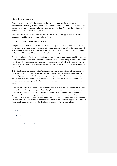#### **Hierarchy of Involvement**

To ensure that unacceptable behaviour has the least impact across the school we have implemented a hierarchy of involvement to show how incidents should be handled. In the first instance class teachers should deal with any unwanted behaviour following the guidance in the '*Behaviour Stages & Actions'* chart (p.8-9)

If this does not prove effective then the class teacher can request support from more senior members of staff in line with the procedures above.

#### **Fixed-Term and Permanent Exclusions**

Temporary exclusions are one of the last resorts and may take the form of withdrawal at lunch times, short term suspensions or exclusions for longer periods. In exceptional circumstances it may become necessary for a child to be permanently excluded from the school, staff in school will do all that they possibly can to avoid this situation arising.

Only the Headteacher (or the acting Headteacher) has the power to exclude a pupil from school. The Headteacher may exclude a pupil for one or more fixed periods, for up to 45 days in any one school year. The Headteacher may also exclude a pupil permanently. It is also possible for the Headteacher to convert a fixed-term exclusion into a permanent exclusion, if the circumstances warrant this.

If the Headteacher excludes a pupil, s/he informs the parents immediately, giving reasons for the exclusion. At the same time, the Headteacher makes it clear to the parents that they can, if they wish, appeal against the decision to the governing body. The school informs the parents how to make any such appeal. The Headteacher informs the LA and the governing body about any permanent exclusion, and about any fixed-term exclusions beyond five days in any one term.

The governing body itself cannot either exclude a pupil or extend the exclusion period made by the Headteacher. The governing body has a discipline committee which is made up of between three and five members. This committee considers any exclusion appeals on behalf of the governors. When an appeals panel meets to consider an exclusion, they consider the circumstances in which the pupil was excluded, consider any representation by parents and the LA, and consider whether the pupil should be reinstated. If the governors' appeals panel decides that a pupil should be reinstated, the Headteacher must comply with this ruling.

 $Signed:$ 

| Designation: |  |
|--------------|--|
|              |  |

**Date: \_\_\_\_\_\_\_\_\_\_\_\_\_\_\_\_\_\_\_**

**Review Date: November 2022**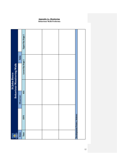## **Appendix 1a –Monitoring Behaviour Walk Proforma**

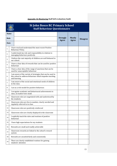|  | <b>Appendix 1b-Monitoring Staff Self-evaluation/Audit</b> |
|--|-----------------------------------------------------------|
|--|-----------------------------------------------------------|



## **St John Bosco RC Primary School Staff Behaviour Questionnaire**

| Name |        |                                                                                                                                        |                 |               |                 |
|------|--------|----------------------------------------------------------------------------------------------------------------------------------------|-----------------|---------------|-----------------|
| Role |        |                                                                                                                                        | <b>Strongly</b> | <b>Mostly</b> | <b>Disagree</b> |
| Date |        |                                                                                                                                        | <b>Agree</b>    | <b>Agree</b>  |                 |
| 1.   |        | I have read and understand the most recent Positive<br>Behaviour Policy.                                                               |                 |               |                 |
| 2.   |        | I understand my role and responsibility in relation to<br>managing behaviour positively.                                               |                 |               |                 |
| 3.   |        | I believe the vast majority of children are well behaved in<br>our school.                                                             |                 |               |                 |
| 4.   |        | I have a clear idea of rewards that can be used for positive<br>behaviour                                                              |                 |               |                 |
| 5.   |        | I have a clear idea of the range of sanctions that can be<br>used for unacceptable behaviour                                           |                 |               |                 |
| 6.   |        | I am aware of the variety of strategies that can be used in<br>this school to address behaviour which impedes teaching<br>and learning |                 |               |                 |
| 7.   |        | I am aware of the social and emotional needs of children<br>in the class.                                                              |                 |               |                 |
| 8.   |        | I act as a role model for positive behaviour.                                                                                          |                 |               |                 |
| 9.   |        | I recognise academic and behavioural achievements in<br>class, no matter how small.                                                    |                 |               |                 |
| 10.  |        | Classroom rules are negotiated with and understood by<br>the students.                                                                 |                 |               |                 |
| 11.  |        | Classroom rules are few in number, clearly worded and<br>regularly referred to in class                                                |                 |               |                 |
| 12.  |        | Classroom rules are positively reinforced                                                                                              |                 |               |                 |
| 13.  |        | Classroom rules are clearly displayed in the classroom                                                                                 |                 |               |                 |
| 14.  |        | I explicitly teach the rules and routines of positive<br>behaviour                                                                     |                 |               |                 |
| 15.  |        | I have high expectations for my students                                                                                               |                 |               |                 |
| 16.  |        | Rewards are small and readily achievable                                                                                               |                 |               |                 |
| 17.  | system | Classroom rewards are linked to the school's reward                                                                                    |                 |               |                 |
| 18.  |        | Rewards are awarded fairly and consistently                                                                                            |                 |               |                 |
| 19.  |        | There are clearly established routines for gaining<br>students' attention                                                              |                 |               |                 |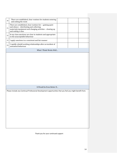| 20. | There are established, clear routines for students entering<br>and exiting the room                                                                                                        |  |  |
|-----|--------------------------------------------------------------------------------------------------------------------------------------------------------------------------------------------|--|--|
| 21. | There are established, clear routines for: - gaining quiet<br>and silence - distributing and collecting<br>materials/equipment and changing activities - clearing up<br>and ending a class |  |  |
| 22. | In my class sanctions are clear to students and appropriate<br>to the unacceptable behaviour                                                                                               |  |  |
| 23. | I apply sanctions in a consistent and fair manner                                                                                                                                          |  |  |
| 24. | I rapidly rebuild working relationships after an incident of<br>unwanted behaviour                                                                                                         |  |  |
|     | What I Think Works Well                                                                                                                                                                    |  |  |
|     |                                                                                                                                                                                            |  |  |
|     | It Would be Even Better If                                                                                                                                                                 |  |  |
|     | Please include any Continual Professional Development opportunities that you feel you might benefit from.                                                                                  |  |  |

Thank you for your continued support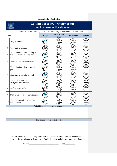|                | <b>St John Bosco RC Primary School</b><br><b>Pupil Behaviour Questionnaire</b>           |                                  |  |           |           |  |  |
|----------------|------------------------------------------------------------------------------------------|----------------------------------|--|-----------|-----------|--|--|
|                | Please circle or tick the smiley face that shows how you feel about each statement.      |                                  |  |           |           |  |  |
|                | <b>Most of the</b><br><b>Sometimes</b><br><b>Always</b><br><b>Never</b><br>Date:<br>time |                                  |  |           |           |  |  |
| 1              | I enjoy school.                                                                          |                                  |  | $\bullet$ | <b>OG</b> |  |  |
| 2              | I feel safe at school.                                                                   |                                  |  | 00        | 60        |  |  |
| 3              | I have a clear understanding of<br>the behaviour expected from<br>me.                    |                                  |  | OC        | <b>00</b> |  |  |
| 4              | I am well behaved at school.                                                             |                                  |  | $\bullet$ | 60        |  |  |
| 5              | The behaviour of other pupils is<br>good.                                                |                                  |  | OC        | 00        |  |  |
| 6              | I feel safe in the playground.                                                           |                                  |  | 00        | 60        |  |  |
| $\overline{7}$ | I am encouraged to treat<br>everyone with respect.                                       |                                  |  | 00        | 60        |  |  |
| 8              | Staff treat us fairly.                                                                   |                                  |  | 00        | 60        |  |  |
| 9              | Staff listen to what I have to say.                                                      |                                  |  | $\bullet$ | 60        |  |  |
| 10             | There is an adult I can go to if I<br>feel worried.                                      |                                  |  |           | <b>06</b> |  |  |
|                |                                                                                          | What I like most about my school |  |           |           |  |  |
|                |                                                                                          |                                  |  |           |           |  |  |
|                |                                                                                          |                                  |  |           |           |  |  |
|                |                                                                                          | This school would be better if   |  |           |           |  |  |
|                |                                                                                          |                                  |  |           |           |  |  |
|                |                                                                                          |                                  |  |           |           |  |  |
|                |                                                                                          |                                  |  |           |           |  |  |

**Appendix 1c – Monitoring**

Thank you for sharing your opinions with us. This is an anonymous survey but if you would like the chance to discuss your feedback please include your name and class here:

Name: \_\_\_\_\_\_\_\_\_\_\_\_\_\_\_\_\_\_\_\_\_\_\_\_\_\_\_\_\_\_\_\_\_\_\_\_\_\_\_\_\_ Class:\_\_\_\_\_\_\_\_\_\_\_\_\_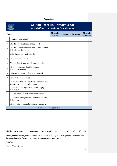## **Appendix 1d**

| Date: |                                                                                 | <b>Strongly</b><br><b>Agree</b> | <b>Agree</b> | <b>Disagree</b> | <b>Strongly</b><br><b>Disagree</b> |
|-------|---------------------------------------------------------------------------------|---------------------------------|--------------|-----------------|------------------------------------|
| 1     | My child likes school.                                                          |                                 |              |                 |                                    |
| 2     | My child feels safe and happy at school.                                        |                                 |              |                 |                                    |
| 3     | My child knows they can turn to an adult for<br>help should they need it        |                                 |              |                 |                                    |
| 4     | All children are treated fairly                                                 |                                 |              |                 |                                    |
| 5     | I feel welcome in school.                                                       |                                 |              |                 |                                    |
| 6     | The staff are friendly and approachable.                                        |                                 |              |                 |                                    |
| 7     | I know about the 'Good to be Green'<br>behaviour scheme                         |                                 |              |                 |                                    |
| 8     | I think this reward scheme works well                                           |                                 |              |                 |                                    |
| 9     | I know the school rules                                                         |                                 |              |                 |                                    |
| 10    | I have seen the school rules clearly displayed<br>around the school environment |                                 |              |                 |                                    |
| 11    | The school has high expectations of pupil<br>behaviour                          |                                 |              |                 |                                    |
| 12    | The children are well behaved in school                                         |                                 |              |                 |                                    |
| 13    | The school recognises and rewards positive<br>behaviour                         |                                 |              |                 |                                    |
| 14    | I know who to speak to if I have a concern                                      |                                 |              |                 |                                    |
|       | <b>Comments or Suggestions</b>                                                  |                                 |              |                 |                                    |
|       |                                                                                 |                                 |              |                 |                                    |

*Thank you for sharing your opinions with us. This is an anonymous survey but if you would like the opportunity to discuss your feedback please include name here:* 

Child's Name: \_\_\_\_\_\_\_\_\_\_\_\_\_\_\_\_\_\_\_\_\_\_\_\_\_\_\_\_\_\_\_\_\_\_\_\_\_\_\_\_\_\_\_\_\_\_\_\_\_\_\_\_\_\_\_\_\_\_\_\_\_\_\_\_\_\_\_\_\_\_\_\_\_\_\_\_\_\_\_\_\_\_\_\_\_\_\_\_\_\_\_\_\_

Parent/ Carer Name:\_\_\_\_\_\_\_\_\_\_\_\_\_\_\_\_\_\_\_\_\_\_\_\_\_\_\_\_\_\_\_\_\_\_\_\_\_\_\_\_\_\_\_\_\_\_\_\_\_\_\_\_\_\_\_\_\_\_\_\_\_\_\_\_\_\_\_\_\_\_\_\_\_\_\_\_\_\_\_\_\_\_\_\_\_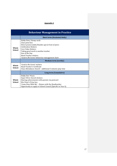## **Appendix 2**

| <b>Behaviour Management in Practice</b> |                                                                                                                                                                                                                                                                                                  |  |  |  |
|-----------------------------------------|--------------------------------------------------------------------------------------------------------------------------------------------------------------------------------------------------------------------------------------------------------------------------------------------------|--|--|--|
|                                         | <b>Short term (Sessional/daily)</b>                                                                                                                                                                                                                                                              |  |  |  |
| Whole<br>School                         | Diddy Dots/ Stamp cards<br>Class prize box<br>Direct praise (smile/thumbs up) in front of peers<br><b>Celebration Stickers</b><br>Core Value Stickers<br>Taking good work to another teacher<br>Star of the Day<br><b>Head Teacher stickers</b><br>'Good to Be Green' behaviour management chart |  |  |  |
|                                         | <b>Medium term (weekly)</b>                                                                                                                                                                                                                                                                      |  |  |  |
| Whole<br><b>School</b>                  | 'Good to Be Green' stickers<br>Head Teacher's Certificate<br>Class Attendance Award - additional 5 minutes play time                                                                                                                                                                             |  |  |  |
|                                         | Long term (Cumulative)                                                                                                                                                                                                                                                                           |  |  |  |
| Whole<br><b>School</b>                  | Diddy Dot Prizes<br>Super Silver Award stickers<br>Sharing achievements with parents via postcard<br>Mrs Peart's Prize box<br>'Come Dine With Me' – Dinner with the Headteacher<br>Opportunity to apply to School Council (Specific to Year 6)                                                   |  |  |  |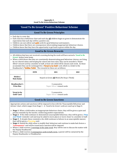#### **Appendix 3- Good To Be Green Behaviour Scheme**

## **'Good To Be Green!' Positive Behaviour Scheme**

## **Good To Be Green Principles**

- Each day is a new day.
- Each class has a behaviour chart and each day **all** children begin on green to demonstrate the expectation that each day will be a positive one.
- Children can earn silver and **gold** cards for good behaviour and manners.<br>• Children know that there are consequences when making inanpropriate h
- Children know that there are consequences when making inappropriate behaviour choices.
- Children know that they have the opportunity to get back to green within the day.

## **Good to Be Green Rewards**

- All children that have not received a warning during the week will have earned a **'Good to Be Green'** sticker/note home.
- When a child shows that they are consistently demonstrating good behaviour choices, are living by our shared values and keeping the school and class rules, they can be awarded a Silver' reward card by a member of staff, at least one child will be chosen each week. As these accumulate they can be exchanged for a 'Great to be Gold' card, which is a ticket to the Headteacher's 'Golden Table'. The rewards for these are as follows:

|                                   | <b>EYFS</b>                                       | KS <sub>1</sub> | KS <sub>2</sub> |  |  |  |
|-----------------------------------|---------------------------------------------------|-----------------|-----------------|--|--|--|
| Sticker/<br>Note home             | Stayed on Green <b>All</b> Week (No Stop n Think) |                 |                 |  |  |  |
| Headteacher's<br><b>Prize Box</b> | 3 consecutive<br>'Super Silver' reward cards      |                 |                 |  |  |  |
| 'Great to be<br>Gold' Card        | 5 consecutive<br>'Super Silver' reward cards      |                 |                 |  |  |  |
| <b>Good to Be Green Sanctions</b> |                                                   |                 |                 |  |  |  |

Appropriate actions and sanctions will be imposed in line with the 'Unacceptable Behaviour and Actions' chart, which ranges from Stage 1 – 6. 'Good to be Green' cards are used up to Stage 4:

- **Stage 1** When a child makes an inappropriate behaviour choice, they will be given a quiet and private reminder by the teacher, reinforcing positive expectations.
- **Stage 2** If the child continues to demonstrate unacceptable behaviour, they will be given a **'Stop and Think'** reminder card and may be asked to move places or move closer to a member of staff.
- **Stage 3** If, despite these reminders, the child continues to behave in an unacceptable manner, they will be given a **Warning** card.
- **Stage 4** -Should the child refuse to modify their behaviour and continue to make bad choices a '**Consequence'** card will be issued and a sanction will be imposed.
- Where a child receives 2 warnings in the same week they will be sent to discuss the matter with the Deputy Headteacher
- Where a child receives 3 consequence cards in half a term, a parent will be contacted by the Deputy Headteacher or Headteacher.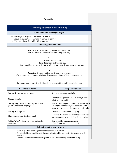## **Appendix 4**

| <b>Correcting Behaviour in a Positive Way</b>                                                                                                                                                                                                                                           |                                                                                                                                     |  |  |  |
|-----------------------------------------------------------------------------------------------------------------------------------------------------------------------------------------------------------------------------------------------------------------------------------------|-------------------------------------------------------------------------------------------------------------------------------------|--|--|--|
| <b>Considerations Before you Begin</b>                                                                                                                                                                                                                                                  |                                                                                                                                     |  |  |  |
| $\rightarrow$ Ensure you can give a controlled response.<br>$\rightarrow$ Focus on the initial behaviour you want to correct<br>$\rightarrow$ Make sure have the child's full attention                                                                                                 |                                                                                                                                     |  |  |  |
| <b>Correcting the Behaviour</b>                                                                                                                                                                                                                                                         |                                                                                                                                     |  |  |  |
| <b>Instruction</b> - What would you like the child to do?<br>Ask the child in a friendly, positive and polite way.                                                                                                                                                                      |                                                                                                                                     |  |  |  |
| Choice - Offer a choice<br>Take this choice or I will act e.g.<br>You can either get on with your work here or you will have to go to time out.                                                                                                                                         |                                                                                                                                     |  |  |  |
| <b>Warning</b> - If you don't there will be a consequence<br>If you continue to choose to behave this way then there will be a consequence.                                                                                                                                             |                                                                                                                                     |  |  |  |
|                                                                                                                                                                                                                                                                                         | <b>Consequence -</b> unless the child can be encouraged to modify their behaviour                                                   |  |  |  |
| <b>Reactions to Avoid</b>                                                                                                                                                                                                                                                               | <b>Responses to Try</b>                                                                                                             |  |  |  |
| Getting drawn into an argument                                                                                                                                                                                                                                                          | Repeat your request calmly                                                                                                          |  |  |  |
| Making threats                                                                                                                                                                                                                                                                          | Stick to your guns and follow through with<br>what you have said                                                                    |  |  |  |
| Getting angry - this is counterproductive<br>(think about body language too)                                                                                                                                                                                                            | Express your anger at certain behaviour e.g. I<br>am angry with the way you behaved and I<br>want you to  in order to put it right. |  |  |  |
| Making assumptions                                                                                                                                                                                                                                                                      | Listen to what the child is saying                                                                                                  |  |  |  |
| Blaming/shaming the individual                                                                                                                                                                                                                                                          | Separate the behaviour from the person -it is<br>not the person we dislike but the behaviour                                        |  |  |  |
| Asking "Why?" - it rarely gets a satisfactory<br>response                                                                                                                                                                                                                               | How should we ?<br>What should we ?                                                                                                 |  |  |  |
| <b>Following on from an Incident</b>                                                                                                                                                                                                                                                    |                                                                                                                                     |  |  |  |
| $\rightarrow$ Build respect by offering the encouragement to move on.<br>$\rightarrow$ Re-establishing a working relationship with the child, no matter the severity of the<br>incident.<br>$\rightarrow$ Continue to reinforce the message that the classroom is a place for learning. |                                                                                                                                     |  |  |  |

.